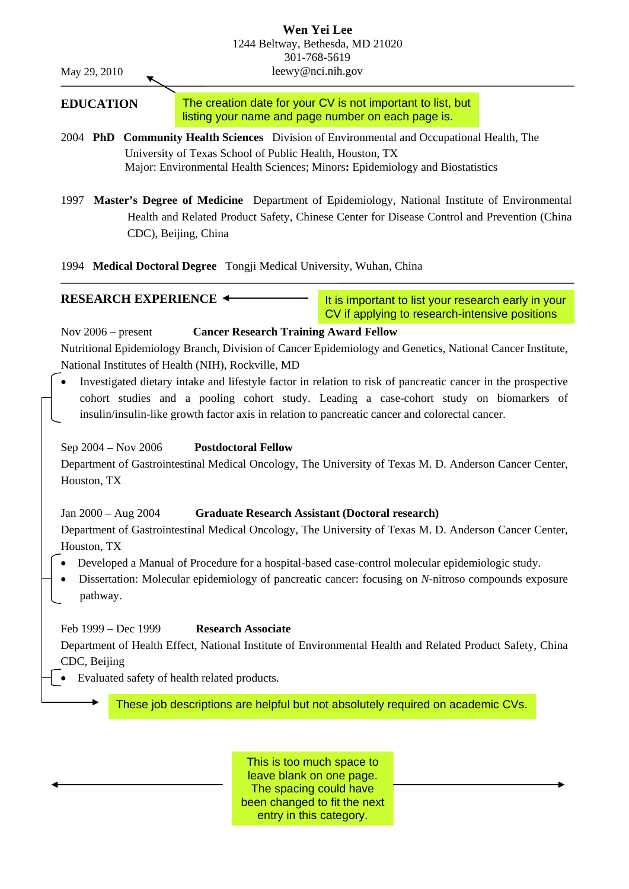#### **Wen Yei Lee** 1244 Beltway, Bethesda, MD 21020 301-768-5619 leewy@nci.nih.gov

May 29, 2010

# **EDUCATION**

The creation date for your CV is not important to list, but listing your name and page number on each page is.

- 2004 **PhD Community Health Sciences** Division of Environmental and Occupational Health, The University of Texas School of Public Health, Houston, TX Major: Environmental Health Sciences; Minors**:** Epidemiology and Biostatistics
- 1997 **Master's Degree of Medicine** Department of Epidemiology, National Institute of Environmental Health and Related Product Safety, Chinese Center for Disease Control and Prevention (China CDC), Beijing, China

1994 **Medical Doctoral Degree** Tongji Medical University, Wuhan, China

**RESEARCH EXPERIENCE**

It is important to list your research early in your CV if applying to research-intensive positions

Nov 2006 – present **Cancer Research Training Award Fellow** Nutritional Epidemiology Branch, Division of Cancer Epidemiology and Genetics, National Cancer Institute, National Institutes of Health (NIH), Rockville, MD • Investigated dietary intake and lifestyle factor in relation to risk of pancreatic cancer in the prospective cohort studies and a pooling cohort study. Leading a case-cohort study on biomarkers of insulin/insulin-like growth factor axis in relation to pancreatic cancer and colorectal cancer. Sep 2004 – Nov 2006 **Postdoctoral Fellow** Department of Gastrointestinal Medical Oncology, The University of Texas M. D. Anderson Cancer Center, Houston, TX Jan 2000 – Aug 2004 **Graduate Research Assistant (Doctoral research)**  Department of Gastrointestinal Medical Oncology, The University of Texas M. D. Anderson Cancer Center, Houston, TX • Developed a Manual of Procedure for a hospital-based case-control molecular epidemiologic study. • Dissertation: Molecular epidemiology of pancreatic cancer: focusing on *N*-nitroso compounds exposure pathway. Feb 1999 – Dec 1999 **Research Associate** Department of Health Effect, National Institute of Environmental Health and Related Product Safety, China CDC, Beijing

• Evaluated safety of health related products.

These job descriptions are helpful but not absolutely required on academic CVs.

This is too much space to leave blank on one page. The spacing could have been changed to fit the next entry in this category.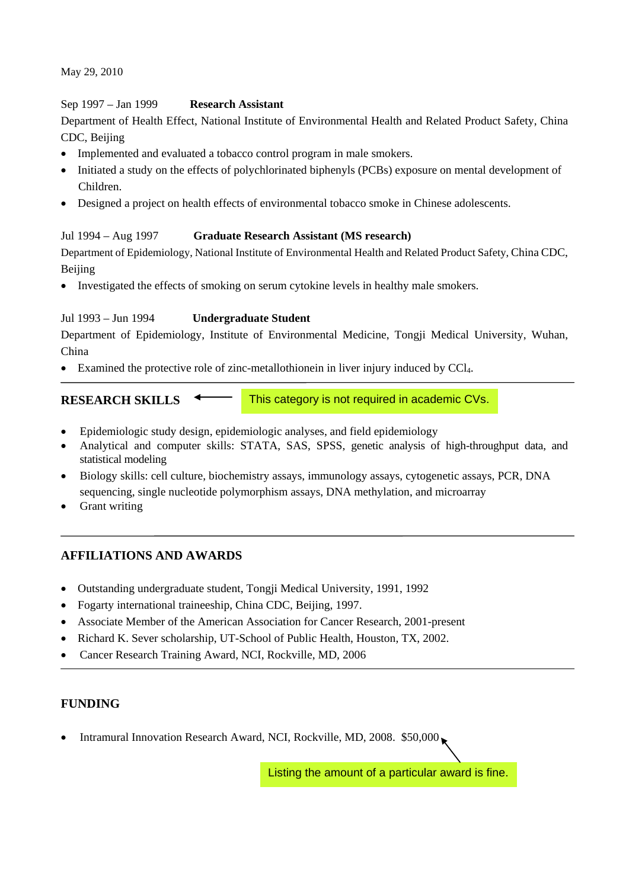May 29, 2010

#### Sep 1997 – Jan 1999 **Research Assistant**

Department of Health Effect, National Institute of Environmental Health and Related Product Safety, China CDC, Beijing

- Implemented and evaluated a tobacco control program in male smokers.
- Initiated a study on the effects of polychlorinated biphenyls (PCBs) exposure on mental development of Children.
- Designed a project on health effects of environmental tobacco smoke in Chinese adolescents.

#### Jul 1994 – Aug 1997 **Graduate Research Assistant (MS research)**

Department of Epidemiology, National Institute of Environmental Health and Related Product Safety, China CDC, Beijing

• Investigated the effects of smoking on serum cytokine levels in healthy male smokers.

## Jul 1993 – Jun 1994 **Undergraduate Student**

Department of Epidemiology, Institute of Environmental Medicine, Tongji Medical University, Wuhan, China

• Examined the protective role of zinc-metallothionein in liver injury induced by CCl<sub>4</sub>.

```
RESEARCH SKILLS
```
This category is not required in academic CVs.

- Epidemiologic study design, epidemiologic analyses, and field epidemiology
- Analytical and computer skills: STATA, SAS, SPSS, genetic analysis of high-throughput data, and statistical modeling
- Biology skills: cell culture, biochemistry assays, immunology assays, cytogenetic assays, PCR, DNA sequencing, single nucleotide polymorphism assays, DNA methylation, and microarray
- Grant writing

# **AFFILIATIONS AND AWARDS**

- Outstanding undergraduate student, Tongji Medical University, 1991, 1992
- Fogarty international traineeship, China CDC, Beijing, 1997.
- Associate Member of the American Association for Cancer Research, 2001-present
- Richard K. Sever scholarship, UT-School of Public Health, Houston, TX, 2002.
- Cancer Research Training Award, NCI, Rockville, MD, 2006

# **FUNDING**

• Intramural Innovation Research Award, NCI, Rockville, MD, 2008. \$50,000

Listing the amount of a particular award is fine.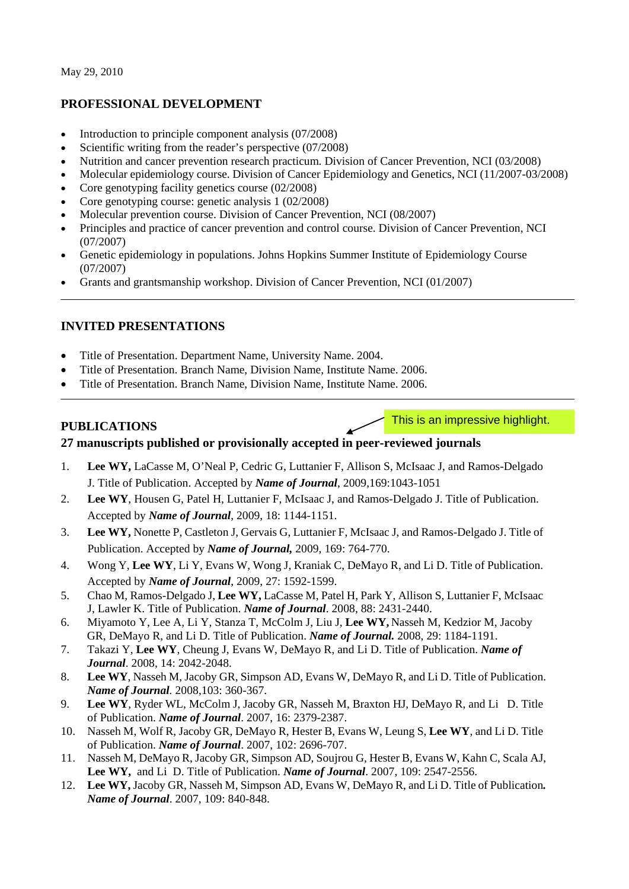# **PROFESSIONAL DEVELOPMENT**

- Introduction to principle component analysis (07/2008)
- Scientific writing from the reader's perspective (07/2008)
- Nutrition and cancer prevention research practicum. Division of Cancer Prevention, NCI (03/2008)
- Molecular epidemiology course. Division of Cancer Epidemiology and Genetics, NCI (11/2007-03/2008)
- Core genotyping facility genetics course (02/2008)
- Core genotyping course: genetic analysis 1 (02/2008)
- Molecular prevention course. Division of Cancer Prevention, NCI (08/2007)
- Principles and practice of cancer prevention and control course. Division of Cancer Prevention, NCI (07/2007)
- Genetic epidemiology in populations. Johns Hopkins Summer Institute of Epidemiology Course (07/2007)
- Grants and grantsmanship workshop. Division of Cancer Prevention, NCI (01/2007)

## **INVITED PRESENTATIONS**

- Title of Presentation. Department Name, University Name. 2004.
- Title of Presentation. Branch Name, Division Name, Institute Name. 2006.
- Title of Presentation. Branch Name, Division Name, Institute Name. 2006.

## **PUBLICATIONS**

This is an impressive highlight.

# **27 manuscripts published or provisionally accepted in peer-reviewed journals**

- 1. **Lee WY,** LaCasse M, O'Neal P, Cedric G, Luttanier F, Allison S, McIsaac J, and Ramos-Delgado J. Title of Publication. Accepted by *Name of Journal*, 2009,169:1043-1051
- 2. **Lee WY**, Housen G, Patel H, Luttanier F, McIsaac J, and Ramos-Delgado J. Title of Publication. Accepted by *Name of Journal*, 2009, 18: 1144-1151.
- 3. **Lee WY,** Nonette P, Castleton J, Gervais G, Luttanier F, McIsaac J, and Ramos-Delgado J. Title of Publication. Accepted by *Name of Journal,* 2009, 169: 764-770.
- 4. Wong Y, **Lee WY**, Li Y, Evans W, Wong J, Kraniak C, DeMayo R, and Li D. Title of Publication. Accepted by *Name of Journal*, 2009, 27: 1592-1599.
- 5. Chao M, Ramos-Delgado J, **Lee WY,** LaCasse M, Patel H, Park Y, Allison S, Luttanier F, McIsaac J, Lawler K. Title of Publication. *Name of Journal*. 2008, 88: 2431-2440.
- 6. Miyamoto Y, Lee A, Li Y, Stanza T, McColm J, Liu J, **Lee WY,** Nasseh M, Kedzior M, Jacoby GR, DeMayo R, and Li D. Title of Publication. *Name of Journal.* 2008, 29: 1184-1191.
- 7. Takazi Y, **Lee WY**, Cheung J, Evans W, DeMayo R, and Li D. Title of Publication. *Name of Journal*. 2008, 14: 2042-2048.
- 8. **Lee WY**, Nasseh M, Jacoby GR, Simpson AD, Evans W, DeMayo R, and Li D. Title of Publication. *Name of Journal.* 2008,103: 360-367.
- 9. **Lee WY**, Ryder WL, McColm J, Jacoby GR, Nasseh M, Braxton HJ, DeMayo R, and Li D. Title of Publication. *Name of Journal*. 2007, 16: 2379-2387.
- 10. Nasseh M, Wolf R, Jacoby GR, DeMayo R, Hester B, Evans W, Leung S, **Lee WY**, and Li D. Title of Publication. *Name of Journal*. 2007, 102: 2696-707.
- 11. Nasseh M, DeMayo R, Jacoby GR, Simpson AD, Soujrou G, Hester B, Evans W, Kahn C, Scala AJ, **Lee WY,** and Li D. Title of Publication. *Name of Journal*. 2007, 109: 2547-2556.
- 12. **Lee WY,** Jacoby GR, Nasseh M, Simpson AD, Evans W, DeMayo R, and Li D. Title of Publication*. Name of Journal*. 2007, 109: 840-848.